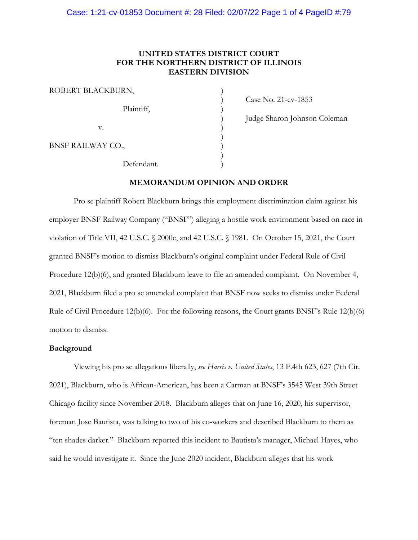## **UNITED STATES DISTRICT COURT FOR THE NORTHERN DISTRICT OF ILLINOIS EASTERN DIVISION**

| ROBERT BLACKBURN, |  |
|-------------------|--|
| Plaintiff,        |  |
| v.                |  |
| BNSF RAILWAY CO., |  |
| Defendant.        |  |

) Case No. 21-cv-1853

) Judge Sharon Johnson Coleman

**MEMORANDUM OPINION AND ORDER**

Pro se plaintiff Robert Blackburn brings this employment discrimination claim against his employer BNSF Railway Company ("BNSF") alleging a hostile work environment based on race in violation of Title VII, 42 U.S.C. § 2000e, and 42 U.S.C. § 1981. On October 15, 2021, the Court granted BNSF's motion to dismiss Blackburn's original complaint under Federal Rule of Civil Procedure 12(b)(6), and granted Blackburn leave to file an amended complaint. On November 4, 2021, Blackburn filed a pro se amended complaint that BNSF now seeks to dismiss under Federal Rule of Civil Procedure 12(b)(6). For the following reasons, the Court grants BNSF's Rule 12(b)(6) motion to dismiss.

#### **Background**

Viewing his pro se allegations liberally, *see Harris v. United States*, 13 F.4th 623, 627 (7th Cir. 2021), Blackburn, who is African-American, has been a Carman at BNSF's 3545 West 39th Street Chicago facility since November 2018. Blackburn alleges that on June 16, 2020, his supervisor, foreman Jose Bautista, was talking to two of his co-workers and described Blackburn to them as "ten shades darker." Blackburn reported this incident to Bautista's manager, Michael Hayes, who said he would investigate it. Since the June 2020 incident, Blackburn alleges that his work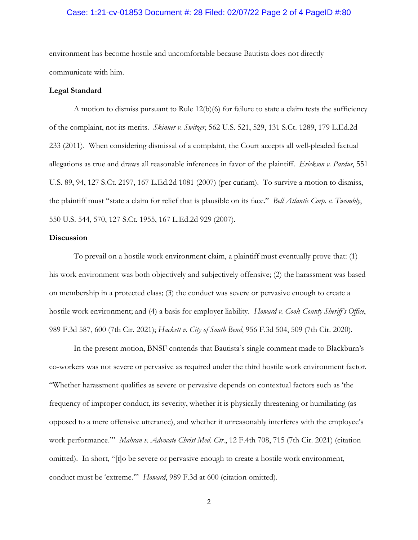#### Case: 1:21-cv-01853 Document #: 28 Filed: 02/07/22 Page 2 of 4 PageID #:80

environment has become hostile and uncomfortable because Bautista does not directly communicate with him.

#### **Legal Standard**

A motion to dismiss pursuant to Rule 12(b)(6) for failure to state a claim tests the sufficiency of the complaint, not its merits. *Skinner v. Switzer*, 562 U.S. 521, 529, 131 S.Ct. 1289, 179 L.Ed.2d 233 (2011). When considering dismissal of a complaint, the Court accepts all well-pleaded factual allegations as true and draws all reasonable inferences in favor of the plaintiff. *Erickson v. Pardus*, 551 U.S. 89, 94, 127 S.Ct. 2197, 167 L.Ed.2d 1081 (2007) (per curiam). To survive a motion to dismiss, the plaintiff must "state a claim for relief that is plausible on its face." *Bell Atlantic Corp. v. Twombly*, 550 U.S. 544, 570, 127 S.Ct. 1955, 167 L.Ed.2d 929 (2007).

#### **Discussion**

To prevail on a hostile work environment claim, a plaintiff must eventually prove that: (1) his work environment was both objectively and subjectively offensive; (2) the harassment was based on membership in a protected class; (3) the conduct was severe or pervasive enough to create a hostile work environment; and (4) a basis for employer liability. *Howard v. Cook County Sheriff's Office*, 989 F.3d 587, 600 (7th Cir. 2021); *Hackett v. City of South Bend*, 956 F.3d 504, 509 (7th Cir. 2020).

In the present motion, BNSF contends that Bautista's single comment made to Blackburn's co-workers was not severe or pervasive as required under the third hostile work environment factor. "Whether harassment qualifies as severe or pervasive depends on contextual factors such as 'the frequency of improper conduct, its severity, whether it is physically threatening or humiliating (as opposed to a mere offensive utterance), and whether it unreasonably interferes with the employee's work performance.'" *Mahran v. Advocate Christ Med. Ctr.*, 12 F.4th 708, 715 (7th Cir. 2021) (citation omitted). In short, "[t]o be severe or pervasive enough to create a hostile work environment, conduct must be 'extreme.'" *Howard*, 989 F.3d at 600 (citation omitted).

2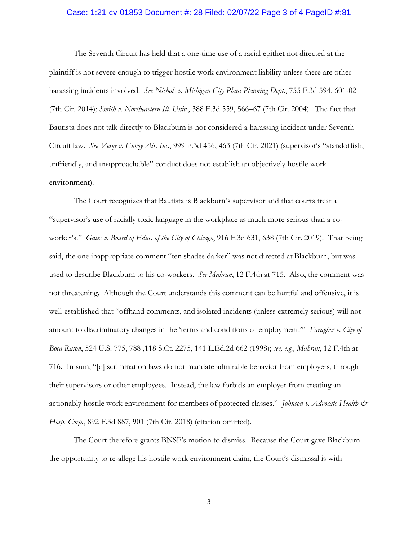#### Case: 1:21-cv-01853 Document #: 28 Filed: 02/07/22 Page 3 of 4 PageID #:81

The Seventh Circuit has held that a one-time use of a racial epithet not directed at the plaintiff is not severe enough to trigger hostile work environment liability unless there are other harassing incidents involved. *See Nichols v. Michigan City Plant Planning Dept.*, 755 F.3d 594, 601-02 (7th Cir. 2014); *Smith v. Northeastern Ill. Univ.*, 388 F.3d 559, 566–67 (7th Cir. 2004). The fact that Bautista does not talk directly to Blackburn is not considered a harassing incident under Seventh Circuit law. *See Vesey v. Envoy Air, Inc.*, 999 F.3d 456, 463 (7th Cir. 2021) (supervisor's "standoffish, unfriendly, and unapproachable" conduct does not establish an objectively hostile work environment).

The Court recognizes that Bautista is Blackburn's supervisor and that courts treat a "supervisor's use of racially toxic language in the workplace as much more serious than a coworker's." *Gates v. Board of Educ. of the City of Chicago*, 916 F.3d 631, 638 (7th Cir. 2019). That being said, the one inappropriate comment "ten shades darker" was not directed at Blackburn, but was used to describe Blackburn to his co-workers. *See Mahran*, 12 F.4th at 715. Also, the comment was not threatening. Although the Court understands this comment can be hurtful and offensive, it is well-established that "offhand comments, and isolated incidents (unless extremely serious) will not amount to discriminatory changes in the 'terms and conditions of employment.'" *Faragher v. City of Boca Raton*, 524 U.S. 775, 788 ,118 S.Ct. 2275, 141 L.Ed.2d 662 (1998); *see, e.g., Mahran*, 12 F.4th at 716. In sum, "[d]iscrimination laws do not mandate admirable behavior from employers, through their supervisors or other employees. Instead, the law forbids an employer from creating an actionably hostile work environment for members of protected classes." *Johnson v. Advocate Health & Hosp. Corp.*, 892 F.3d 887, 901 (7th Cir. 2018) (citation omitted).

The Court therefore grants BNSF's motion to dismiss. Because the Court gave Blackburn the opportunity to re-allege his hostile work environment claim, the Court's dismissal is with

3